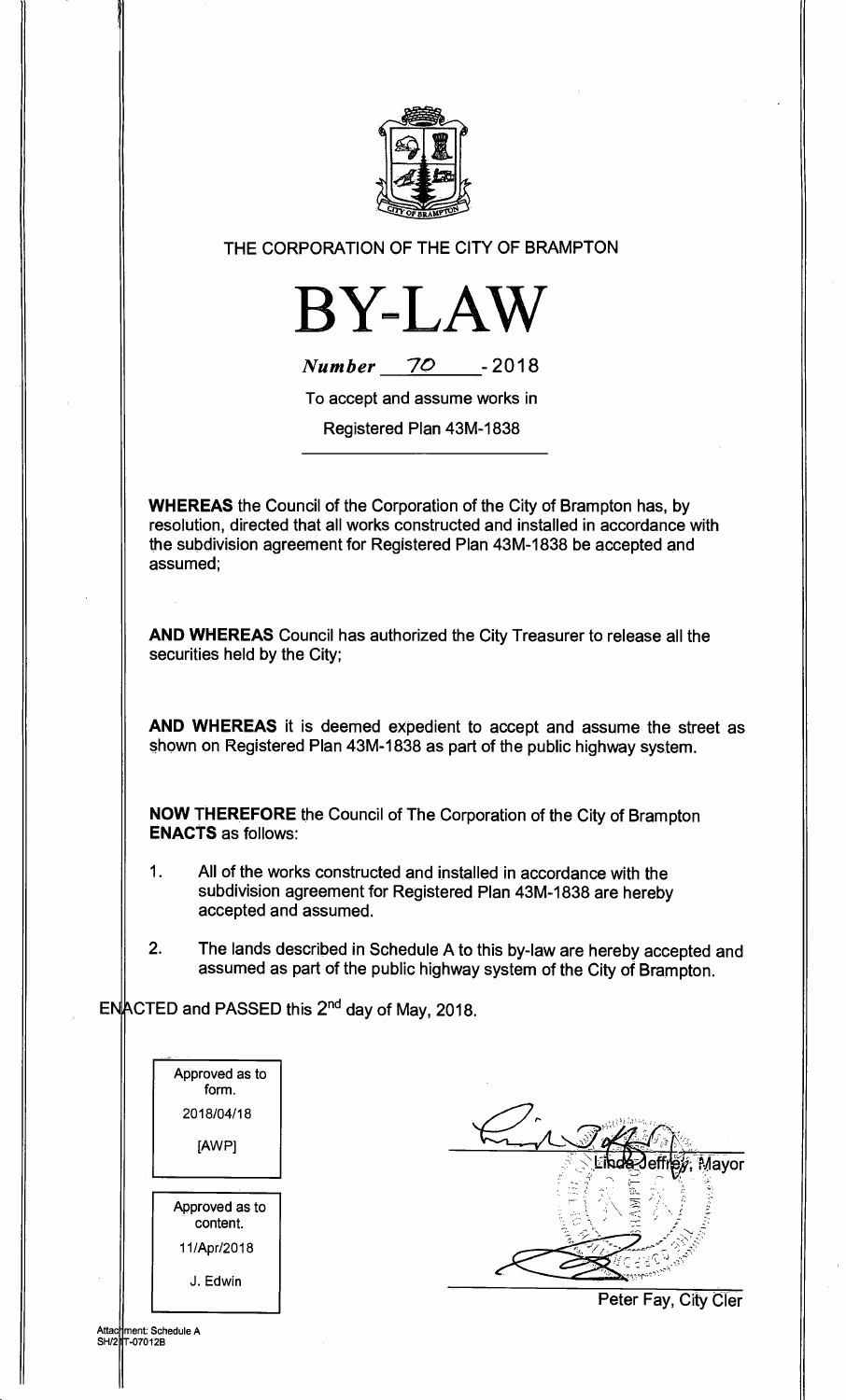

## THE CORPORATION OF THE CITY OF BRAMPTON



**Number 70 - <sup>2018</sup>**

To accept and assume works in

Registered Plan 43M-1838

**WHEREAS** the Council of the Corporation of the City of Brampton has, by resolution, directed that all works constructed and installed in accordance with the subdivision agreement for Registered Plan 43M-1838 be accepted and assumed;

**AND WHEREAS** Council has authorized the City Treasurer to release all the securities held by the City;

**AND WHEREAS** it is deemed expedient to accept and assume the street as shown on Registered Plan 43M-1838 as part of the public highway system.

**NOW THEREFORE** the Council of The Corporation of the City of Brampton **ENACTS** as follows:

- 1. All of the works constructed and installed in accordance with the subdivision agreement for Registered Plan 43M-1838 are hereby accepted and assumed.
- 2. The lands described in Schedule A to this by-law are hereby accepted and assumed as part of the public highway system of the City of Brampton.

 $EN_{\text{ACTED}}^{\text{ACTED}}$  and PASSED this  $2^{\text{nd}}$  day of May, 2018.

| Approved as to<br>form.    |
|----------------------------|
| 2018/04/18                 |
| [AWP]                      |
|                            |
| Approved as to<br>content. |
| 11/Apr/2018                |
| J. Edwin                   |

ment: Schedule A<br>T-07012B

Attac SH/2

Mayor

Peter Fay, City Cler